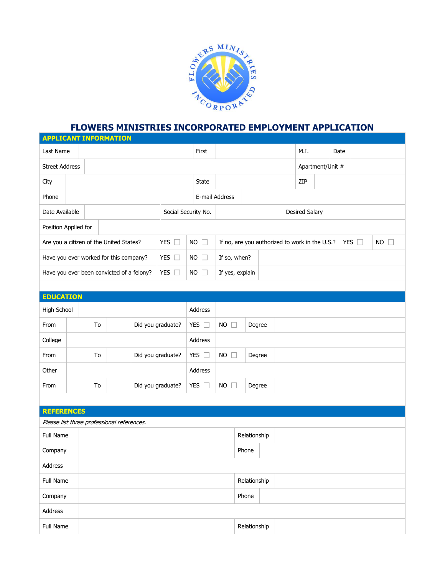

## **FLOWERS MINISTRIES INCORPORATED EMPLOYMENT APPLICATION**

|                                                                 |  |                   | <b>APPLICANT INFORMATION</b>              |                     |                                                |               |                 |              |                       |                  |      |               |           |  |  |
|-----------------------------------------------------------------|--|-------------------|-------------------------------------------|---------------------|------------------------------------------------|---------------|-----------------|--------------|-----------------------|------------------|------|---------------|-----------|--|--|
| Last Name                                                       |  |                   |                                           |                     |                                                | First         |                 |              |                       |                  | M.I. |               | Date      |  |  |
| <b>Street Address</b>                                           |  |                   |                                           |                     |                                                |               |                 |              |                       | Apartment/Unit # |      |               |           |  |  |
| City                                                            |  |                   |                                           |                     |                                                | <b>State</b>  |                 |              |                       |                  | ZIP  |               |           |  |  |
| Phone                                                           |  |                   |                                           |                     |                                                |               | E-mail Address  |              |                       |                  |      |               |           |  |  |
| Date Available                                                  |  |                   |                                           | Social Security No. |                                                |               |                 |              | <b>Desired Salary</b> |                  |      |               |           |  |  |
| Position Applied for                                            |  |                   |                                           |                     |                                                |               |                 |              |                       |                  |      |               |           |  |  |
| <b>YES</b><br>Are you a citizen of the United States?<br>$\Box$ |  |                   |                                           | <b>NO</b><br>$\Box$ | If no, are you authorized to work in the U.S.? |               |                 |              |                       |                  |      | YES $\square$ | <b>NO</b> |  |  |
| YES $\square$<br>Have you ever worked for this company?         |  |                   |                                           | <b>NO</b><br>u      | If so, when?                                   |               |                 |              |                       |                  |      |               |           |  |  |
|                                                                 |  |                   | Have you ever been convicted of a felony? |                     | YES $\square$                                  | <b>NO</b>     | If yes, explain |              |                       |                  |      |               |           |  |  |
|                                                                 |  |                   |                                           |                     |                                                |               |                 |              |                       |                  |      |               |           |  |  |
| <b>EDUCATION</b>                                                |  |                   |                                           |                     |                                                |               |                 |              |                       |                  |      |               |           |  |  |
| High School                                                     |  |                   |                                           | Address             |                                                |               |                 |              |                       |                  |      |               |           |  |  |
| From                                                            |  | To                |                                           |                     | Did you graduate?                              | YES $\square$ | <b>NO</b>       | Degree       |                       |                  |      |               |           |  |  |
| College                                                         |  |                   |                                           | Address             |                                                |               |                 |              |                       |                  |      |               |           |  |  |
| To<br>From                                                      |  | Did you graduate? | YES $\square$                             | <b>NO</b><br>Degree |                                                |               |                 |              |                       |                  |      |               |           |  |  |
| Other                                                           |  |                   |                                           | Address             |                                                |               |                 |              |                       |                  |      |               |           |  |  |
| From                                                            |  | To                |                                           |                     | Did you graduate?                              | YES $\square$ | <b>NO</b>       | Degree       |                       |                  |      |               |           |  |  |
|                                                                 |  |                   |                                           |                     |                                                |               |                 |              |                       |                  |      |               |           |  |  |
| <b>REFERENCES</b>                                               |  |                   |                                           |                     |                                                |               |                 |              |                       |                  |      |               |           |  |  |
| Please list three professional references.                      |  |                   |                                           |                     |                                                |               |                 |              |                       |                  |      |               |           |  |  |
| <b>Full Name</b>                                                |  |                   |                                           |                     |                                                |               | Relationship    |              |                       |                  |      |               |           |  |  |
| Company                                                         |  |                   |                                           |                     |                                                |               |                 | Phone        |                       |                  |      |               |           |  |  |
| Address                                                         |  |                   |                                           |                     |                                                |               |                 |              |                       |                  |      |               |           |  |  |
| Full Name                                                       |  |                   |                                           |                     |                                                |               |                 | Relationship |                       |                  |      |               |           |  |  |
| Company                                                         |  |                   |                                           |                     |                                                |               |                 | Phone        |                       |                  |      |               |           |  |  |
| Address                                                         |  |                   |                                           |                     |                                                |               |                 |              |                       |                  |      |               |           |  |  |
| Full Name                                                       |  |                   |                                           |                     |                                                |               |                 | Relationship |                       |                  |      |               |           |  |  |